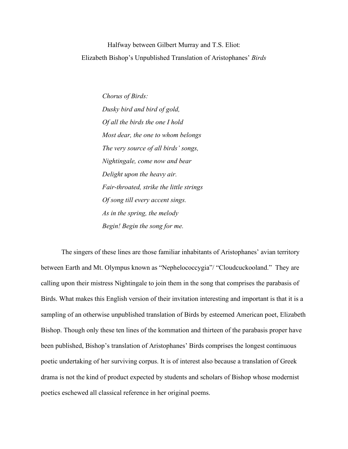Halfway between Gilbert Murray and T.S. Eliot: Elizabeth Bishop's Unpublished Translation of Aristophanes' *Birds*

> *Chorus of Birds: Dusky bird and bird of gold, Of all the birds the one I hold Most dear, the one to whom belongs The very source of all birds' songs, Nightingale, come now and bear Delight upon the heavy air. Fair-throated, strike the little strings Of song till every accent sings. As in the spring, the melody Begin! Begin the song for me.*

The singers of these lines are those familiar inhabitants of Aristophanes' avian territory between Earth and Mt. Olympus known as "Nephelococcygia"/ "Cloudcuckooland." They are calling upon their mistress Nightingale to join them in the song that comprises the parabasis of Birds. What makes this English version of their invitation interesting and important is that it is a sampling of an otherwise unpublished translation of Birds by esteemed American poet, Elizabeth Bishop. Though only these ten lines of the kommation and thirteen of the parabasis proper have been published, Bishop's translation of Aristophanes' Birds comprises the longest continuous poetic undertaking of her surviving corpus. It is of interest also because a translation of Greek drama is not the kind of product expected by students and scholars of Bishop whose modernist poetics eschewed all classical reference in her original poems.